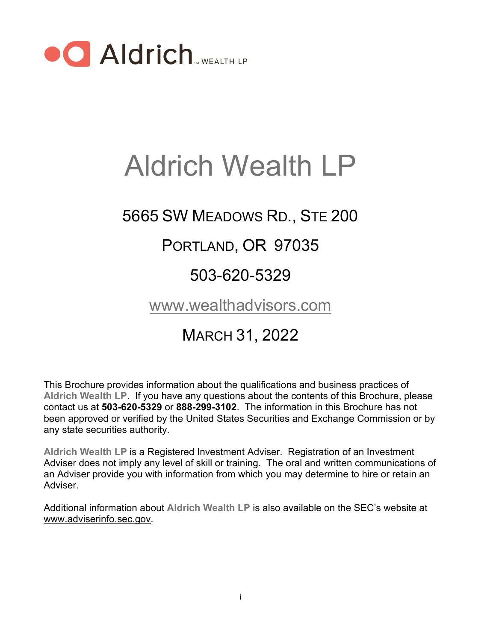

# Aldrich Wealth LP

## 5665 SW MEADOWS RD., STE 200

### PORTLAND, OR 97035

### 503-620-5329

### [www.wealthadvisors.com](http://www.wealthadvisors.com/)

### MARCH 31, 2022

This Brochure provides information about the qualifications and business practices of **Aldrich Wealth LP**. If you have any questions about the contents of this Brochure, please contact us at **503-620-5329** or **888-299-3102**. The information in this Brochure has not been approved or verified by the United States Securities and Exchange Commission or by any state securities authority.

**Aldrich Wealth LP** is a Registered Investment Adviser. Registration of an Investment Adviser does not imply any level of skill or training. The oral and written communications of an Adviser provide you with information from which you may determine to hire or retain an **Adviser** 

Additional information about **Aldrich Wealth LP** is also available on the SEC's website at [www.adviserinfo.sec.gov.](http://www.adviserinfo.sec.gov/)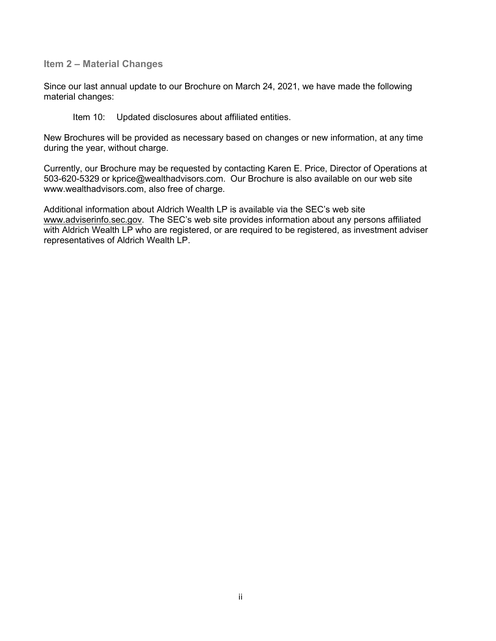<span id="page-1-0"></span>**Item 2 – Material Changes**

Since our last annual update to our Brochure on March 24, 2021, we have made the following material changes:

Item 10: Updated disclosures about affiliated entities.

New Brochures will be provided as necessary based on changes or new information, at any time during the year, without charge.

Currently, our Brochure may be requested by contacting Karen E. Price, Director of Operations at 503-620-5329 or kprice@wealthadvisors.com. Our Brochure is also available on our web site www.wealthadvisors.com, also free of charge.

Additional information about Aldrich Wealth LP is available via the SEC's web site [www.adviserinfo.sec.gov.](http://www.adviserinfo.sec.gov/) The SEC's web site provides information about any persons affiliated with Aldrich Wealth LP who are registered, or are required to be registered, as investment adviser representatives of Aldrich Wealth LP.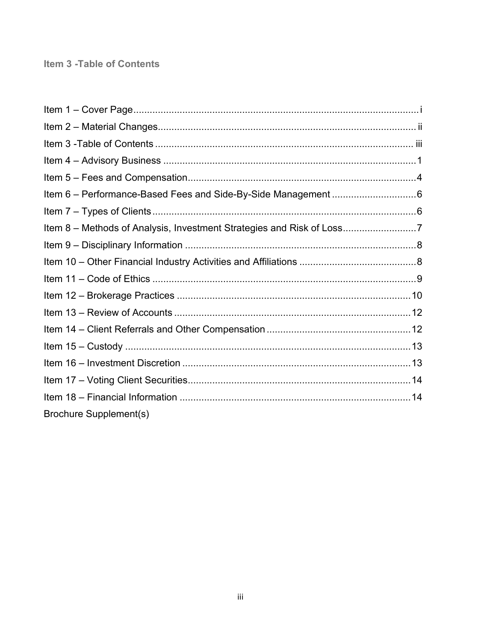#### <span id="page-2-0"></span>Item 3 - Table of Contents

| Item 6 - Performance-Based Fees and Side-By-Side Management 6        |  |
|----------------------------------------------------------------------|--|
|                                                                      |  |
| Item 8 – Methods of Analysis, Investment Strategies and Risk of Loss |  |
|                                                                      |  |
|                                                                      |  |
|                                                                      |  |
|                                                                      |  |
|                                                                      |  |
|                                                                      |  |
|                                                                      |  |
|                                                                      |  |
|                                                                      |  |
|                                                                      |  |
| <b>Brochure Supplement(s)</b>                                        |  |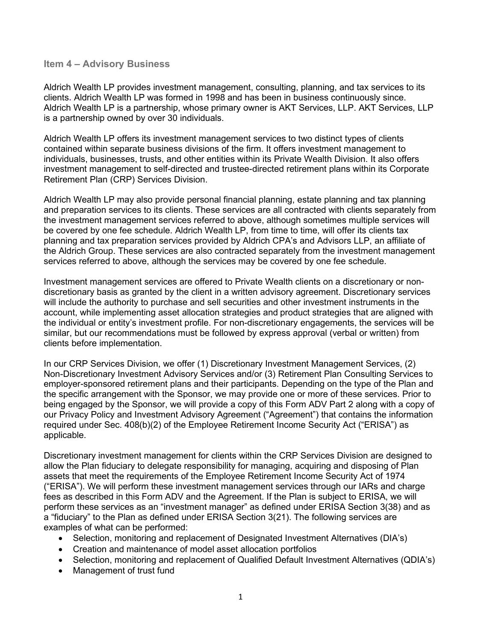#### <span id="page-3-0"></span>**Item 4 – Advisory Business**

Aldrich Wealth LP provides investment management, consulting, planning, and tax services to its clients**.** Aldrich Wealth LP was formed in 1998 and has been in business continuously since. Aldrich Wealth LP is a partnership, whose primary owner is AKT Services, LLP. AKT Services, LLP is a partnership owned by over 30 individuals.

Aldrich Wealth LP offers its investment management services to two distinct types of clients contained within separate business divisions of the firm. It offers investment management to individuals, businesses, trusts, and other entities within its Private Wealth Division. It also offers investment management to self-directed and trustee-directed retirement plans within its Corporate Retirement Plan (CRP) Services Division.

Aldrich Wealth LP may also provide personal financial planning, estate planning and tax planning and preparation services to its clients. These services are all contracted with clients separately from the investment management services referred to above, although sometimes multiple services will be covered by one fee schedule. Aldrich Wealth LP, from time to time, will offer its clients tax planning and tax preparation services provided by Aldrich CPA's and Advisors LLP, an affiliate of the Aldrich Group. These services are also contracted separately from the investment management services referred to above, although the services may be covered by one fee schedule.

Investment management services are offered to Private Wealth clients on a discretionary or nondiscretionary basis as granted by the client in a written advisory agreement. Discretionary services will include the authority to purchase and sell securities and other investment instruments in the account, while implementing asset allocation strategies and product strategies that are aligned with the individual or entity's investment profile. For non-discretionary engagements, the services will be similar, but our recommendations must be followed by express approval (verbal or written) from clients before implementation.

In our CRP Services Division, we offer (1) Discretionary Investment Management Services, (2) Non-Discretionary Investment Advisory Services and/or (3) Retirement Plan Consulting Services to employer-sponsored retirement plans and their participants. Depending on the type of the Plan and the specific arrangement with the Sponsor, we may provide one or more of these services. Prior to being engaged by the Sponsor, we will provide a copy of this Form ADV Part 2 along with a copy of our Privacy Policy and Investment Advisory Agreement ("Agreement") that contains the information required under Sec. 408(b)(2) of the Employee Retirement Income Security Act ("ERISA") as applicable.

Discretionary investment management for clients within the CRP Services Division are designed to allow the Plan fiduciary to delegate responsibility for managing, acquiring and disposing of Plan assets that meet the requirements of the Employee Retirement Income Security Act of 1974 ("ERISA"). We will perform these investment management services through our IARs and charge fees as described in this Form ADV and the Agreement. If the Plan is subject to ERISA, we will perform these services as an "investment manager" as defined under ERISA Section 3(38) and as a "fiduciary" to the Plan as defined under ERISA Section 3(21). The following services are examples of what can be performed:

- Selection, monitoring and replacement of Designated Investment Alternatives (DIA's)
- Creation and maintenance of model asset allocation portfolios
- Selection, monitoring and replacement of Qualified Default Investment Alternatives (QDIA's)
- Management of trust fund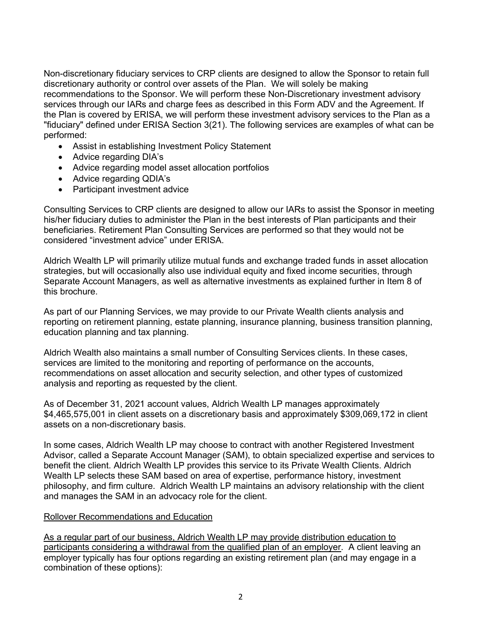Non-discretionary fiduciary services to CRP clients are designed to allow the Sponsor to retain full discretionary authority or control over assets of the Plan. We will solely be making recommendations to the Sponsor. We will perform these Non-Discretionary investment advisory services through our IARs and charge fees as described in this Form ADV and the Agreement. If the Plan is covered by ERISA, we will perform these investment advisory services to the Plan as a "fiduciary" defined under ERISA Section 3(21). The following services are examples of what can be performed:

- Assist in establishing Investment Policy Statement
- Advice regarding DIA's
- Advice regarding model asset allocation portfolios
- Advice regarding QDIA's
- Participant investment advice

Consulting Services to CRP clients are designed to allow our IARs to assist the Sponsor in meeting his/her fiduciary duties to administer the Plan in the best interests of Plan participants and their beneficiaries. Retirement Plan Consulting Services are performed so that they would not be considered "investment advice" under ERISA.

Aldrich Wealth LP will primarily utilize mutual funds and exchange traded funds in asset allocation strategies, but will occasionally also use individual equity and fixed income securities, through Separate Account Managers, as well as alternative investments as explained further in Item 8 of this brochure.

As part of our Planning Services, we may provide to our Private Wealth clients analysis and reporting on retirement planning, estate planning, insurance planning, business transition planning, education planning and tax planning.

Aldrich Wealth also maintains a small number of Consulting Services clients. In these cases, services are limited to the monitoring and reporting of performance on the accounts, recommendations on asset allocation and security selection, and other types of customized analysis and reporting as requested by the client.

As of December 31, 2021 account values, Aldrich Wealth LP manages approximately \$4,465,575,001 in client assets on a discretionary basis and approximately \$309,069,172 in client assets on a non-discretionary basis.

In some cases, Aldrich Wealth LP may choose to contract with another Registered Investment Advisor, called a Separate Account Manager (SAM), to obtain specialized expertise and services to benefit the client. Aldrich Wealth LP provides this service to its Private Wealth Clients. Aldrich Wealth LP selects these SAM based on area of expertise, performance history, investment philosophy, and firm culture. Aldrich Wealth LP maintains an advisory relationship with the client and manages the SAM in an advocacy role for the client.

#### Rollover Recommendations and Education

As a regular part of our business, Aldrich Wealth LP may provide distribution education to participants considering a withdrawal from the qualified plan of an employer. A client leaving an employer typically has four options regarding an existing retirement plan (and may engage in a combination of these options):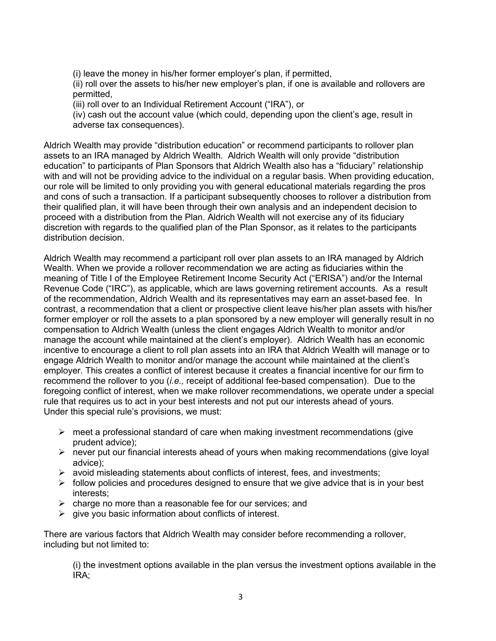(i) leave the money in his/her former employer's plan, if permitted,

(ii) roll over the assets to his/her new employer's plan, if one is available and rollovers are permitted,

(iii) roll over to an Individual Retirement Account ("IRA"), or

(iv) cash out the account value (which could, depending upon the client's age, result in adverse tax consequences).

Aldrich Wealth may provide "distribution education" or recommend participants to rollover plan assets to an IRA managed by Aldrich Wealth. Aldrich Wealth will only provide "distribution education" to participants of Plan Sponsors that Aldrich Wealth also has a "fiduciary" relationship with and will not be providing advice to the individual on a regular basis. When providing education, our role will be limited to only providing you with general educational materials regarding the pros and cons of such a transaction. If a participant subsequently chooses to rollover a distribution from their qualified plan, it will have been through their own analysis and an independent decision to proceed with a distribution from the Plan. Aldrich Wealth will not exercise any of its fiduciary discretion with regards to the qualified plan of the Plan Sponsor, as it relates to the participants distribution decision.

Aldrich Wealth may recommend a participant roll over plan assets to an IRA managed by Aldrich Wealth. When we provide a rollover recommendation we are acting as fiduciaries within the meaning of Title I of the Employee Retirement Income Security Act ("ERISA") and/or the Internal Revenue Code ("IRC"), as applicable, which are laws governing retirement accounts. As a result of the recommendation, Aldrich Wealth and its representatives may earn an asset-based fee. In contrast, a recommendation that a client or prospective client leave his/her plan assets with his/her former employer or roll the assets to a plan sponsored by a new employer will generally result in no compensation to Aldrich Wealth (unless the client engages Aldrich Wealth to monitor and/or manage the account while maintained at the client's employer). Aldrich Wealth has an economic incentive to encourage a client to roll plan assets into an IRA that Aldrich Wealth will manage or to engage Aldrich Wealth to monitor and/or manage the account while maintained at the client's employer. This creates a conflict of interest because it creates a financial incentive for our firm to recommend the rollover to you (*i.e.,* receipt of additional fee-based compensation). Due to the foregoing conflict of interest, when we make rollover recommendations, we operate under a special rule that requires us to act in your best interests and not put our interests ahead of yours. Under this special rule's provisions, we must:

- $\triangleright$  meet a professional standard of care when making investment recommendations (give prudent advice);
- $\triangleright$  never put our financial interests ahead of yours when making recommendations (give loyal advice);
- $\triangleright$  avoid misleading statements about conflicts of interest, fees, and investments;
- $\triangleright$  follow policies and procedures designed to ensure that we give advice that is in your best interests;
- $\triangleright$  charge no more than a reasonable fee for our services; and
- $\triangleright$  give you basic information about conflicts of interest.

There are various factors that Aldrich Wealth may consider before recommending a rollover, including but not limited to:

(i) the investment options available in the plan versus the investment options available in the IRA;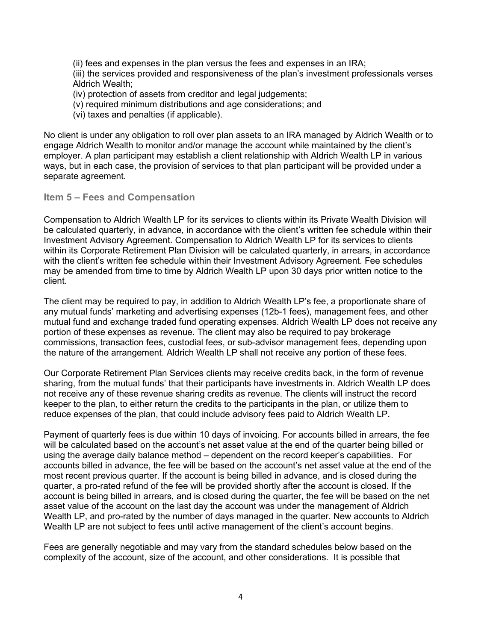(ii) fees and expenses in the plan versus the fees and expenses in an IRA;

(iii) the services provided and responsiveness of the plan's investment professionals verses Aldrich Wealth;

- (iv) protection of assets from creditor and legal judgements;
- (v) required minimum distributions and age considerations; and
- (vi) taxes and penalties (if applicable).

No client is under any obligation to roll over plan assets to an IRA managed by Aldrich Wealth or to engage Aldrich Wealth to monitor and/or manage the account while maintained by the client's employer. A plan participant may establish a client relationship with Aldrich Wealth LP in various ways, but in each case, the provision of services to that plan participant will be provided under a separate agreement.

<span id="page-6-0"></span>**Item 5 – Fees and Compensation**

Compensation to Aldrich Wealth LP for its services to clients within its Private Wealth Division will be calculated quarterly, in advance, in accordance with the client's written fee schedule within their Investment Advisory Agreement. Compensation to Aldrich Wealth LP for its services to clients within its Corporate Retirement Plan Division will be calculated quarterly, in arrears, in accordance with the client's written fee schedule within their Investment Advisory Agreement. Fee schedules may be amended from time to time by Aldrich Wealth LP upon 30 days prior written notice to the client.

The client may be required to pay, in addition to Aldrich Wealth LP's fee, a proportionate share of any mutual funds' marketing and advertising expenses (12b-1 fees), management fees, and other mutual fund and exchange traded fund operating expenses. Aldrich Wealth LP does not receive any portion of these expenses as revenue. The client may also be required to pay brokerage commissions, transaction fees, custodial fees, or sub-advisor management fees, depending upon the nature of the arrangement. Aldrich Wealth LP shall not receive any portion of these fees.

Our Corporate Retirement Plan Services clients may receive credits back, in the form of revenue sharing, from the mutual funds' that their participants have investments in. Aldrich Wealth LP does not receive any of these revenue sharing credits as revenue. The clients will instruct the record keeper to the plan, to either return the credits to the participants in the plan, or utilize them to reduce expenses of the plan, that could include advisory fees paid to Aldrich Wealth LP.

Payment of quarterly fees is due within 10 days of invoicing. For accounts billed in arrears, the fee will be calculated based on the account's net asset value at the end of the quarter being billed or using the average daily balance method – dependent on the record keeper's capabilities. For accounts billed in advance, the fee will be based on the account's net asset value at the end of the most recent previous quarter. If the account is being billed in advance, and is closed during the quarter, a pro-rated refund of the fee will be provided shortly after the account is closed. If the account is being billed in arrears, and is closed during the quarter, the fee will be based on the net asset value of the account on the last day the account was under the management of Aldrich Wealth LP, and pro-rated by the number of days managed in the quarter. New accounts to Aldrich Wealth LP are not subject to fees until active management of the client's account begins.

Fees are generally negotiable and may vary from the standard schedules below based on the complexity of the account, size of the account, and other considerations. It is possible that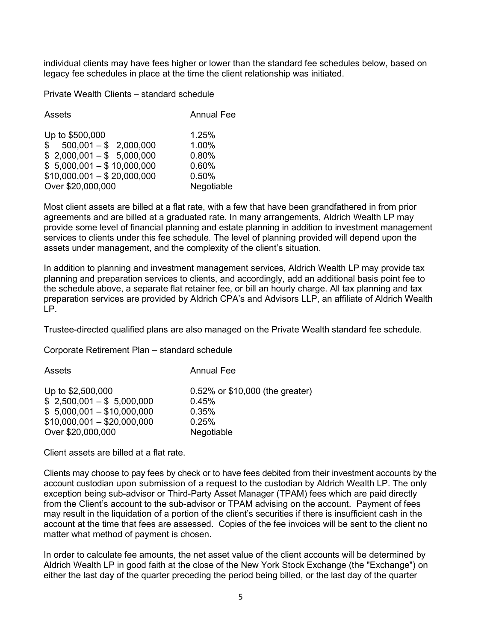individual clients may have fees higher or lower than the standard fee schedules below, based on legacy fee schedules in place at the time the client relationship was initiated.

Private Wealth Clients – standard schedule

| Assets                                                                                                                               | <b>Annual Fee</b>                         |
|--------------------------------------------------------------------------------------------------------------------------------------|-------------------------------------------|
| Up to \$500,000<br>$$500,001 - $2,000,000$<br>$$2,000,001 - $5,000,000$<br>$$5,000,001 - $10,000,000$<br>$$10,000,001 - $20,000,000$ | 1.25%<br>1.00%<br>0.80%<br>0.60%<br>0.50% |
| Over \$20,000,000                                                                                                                    | Negotiable                                |

Most client assets are billed at a flat rate, with a few that have been grandfathered in from prior agreements and are billed at a graduated rate. In many arrangements, Aldrich Wealth LP may provide some level of financial planning and estate planning in addition to investment management services to clients under this fee schedule. The level of planning provided will depend upon the assets under management, and the complexity of the client's situation.

In addition to planning and investment management services, Aldrich Wealth LP may provide tax planning and preparation services to clients, and accordingly, add an additional basis point fee to the schedule above, a separate flat retainer fee, or bill an hourly charge. All tax planning and tax preparation services are provided by Aldrich CPA's and Advisors LLP, an affiliate of Aldrich Wealth LP.

Trustee-directed qualified plans are also managed on the Private Wealth standard fee schedule.

Corporate Retirement Plan – standard schedule

| Assets                      | <b>Annual Fee</b>               |
|-----------------------------|---------------------------------|
| Up to \$2,500,000           | 0.52% or \$10,000 (the greater) |
| $$2,500,001 - $5,000,000$   | 0.45%                           |
| $$5,000,001 - $10,000,000$  | 0.35%                           |
| $$10,000,001 - $20,000,000$ | 0.25%                           |
| Over \$20,000,000           | Negotiable                      |

Client assets are billed at a flat rate.

Clients may choose to pay fees by check or to have fees debited from their investment accounts by the account custodian upon submission of a request to the custodian by Aldrich Wealth LP. The only exception being sub-advisor or Third-Party Asset Manager (TPAM) fees which are paid directly from the Client's account to the sub-advisor or TPAM advising on the account. Payment of fees may result in the liquidation of a portion of the client's securities if there is insufficient cash in the account at the time that fees are assessed. Copies of the fee invoices will be sent to the client no matter what method of payment is chosen.

In order to calculate fee amounts, the net asset value of the client accounts will be determined by Aldrich Wealth LP in good faith at the close of the New York Stock Exchange (the "Exchange") on either the last day of the quarter preceding the period being billed, or the last day of the quarter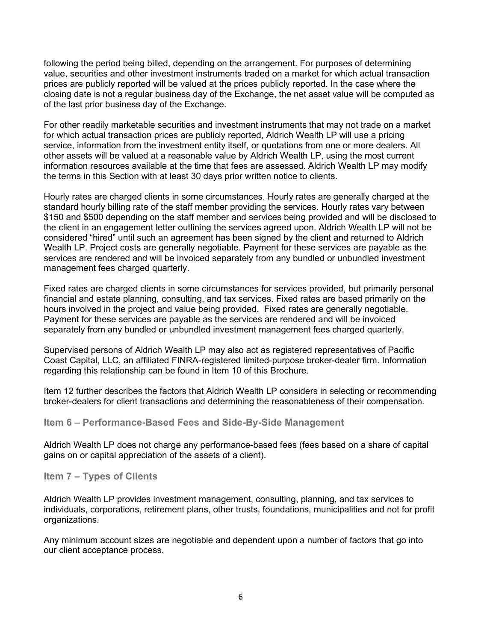following the period being billed, depending on the arrangement. For purposes of determining value, securities and other investment instruments traded on a market for which actual transaction prices are publicly reported will be valued at the prices publicly reported. In the case where the closing date is not a regular business day of the Exchange, the net asset value will be computed as of the last prior business day of the Exchange.

For other readily marketable securities and investment instruments that may not trade on a market for which actual transaction prices are publicly reported, Aldrich Wealth LP will use a pricing service, information from the investment entity itself, or quotations from one or more dealers. All other assets will be valued at a reasonable value by Aldrich Wealth LP, using the most current information resources available at the time that fees are assessed. Aldrich Wealth LP may modify the terms in this Section with at least 30 days prior written notice to clients.

Hourly rates are charged clients in some circumstances. Hourly rates are generally charged at the standard hourly billing rate of the staff member providing the services. Hourly rates vary between \$150 and \$500 depending on the staff member and services being provided and will be disclosed to the client in an engagement letter outlining the services agreed upon. Aldrich Wealth LP will not be considered "hired" until such an agreement has been signed by the client and returned to Aldrich Wealth LP. Project costs are generally negotiable. Payment for these services are payable as the services are rendered and will be invoiced separately from any bundled or unbundled investment management fees charged quarterly.

Fixed rates are charged clients in some circumstances for services provided, but primarily personal financial and estate planning, consulting, and tax services. Fixed rates are based primarily on the hours involved in the project and value being provided. Fixed rates are generally negotiable. Payment for these services are payable as the services are rendered and will be invoiced separately from any bundled or unbundled investment management fees charged quarterly.

Supervised persons of Aldrich Wealth LP may also act as registered representatives of Pacific Coast Capital, LLC, an affiliated FINRA-registered limited-purpose broker-dealer firm. Information regarding this relationship can be found in Item 10 of this Brochure.

Item 12 further describes the factors that Aldrich Wealth LP considers in selecting or recommending broker-dealers for client transactions and determining the reasonableness of their compensation.

<span id="page-8-0"></span>**Item 6 – Performance-Based Fees and Side-By-Side Management**

Aldrich Wealth LP does not charge any performance-based fees (fees based on a share of capital gains on or capital appreciation of the assets of a client).

<span id="page-8-1"></span>**Item 7 – Types of Clients** 

Aldrich Wealth LP provides investment management, consulting, planning, and tax services to individuals, corporations, retirement plans, other trusts, foundations, municipalities and not for profit organizations.

Any minimum account sizes are negotiable and dependent upon a number of factors that go into our client acceptance process.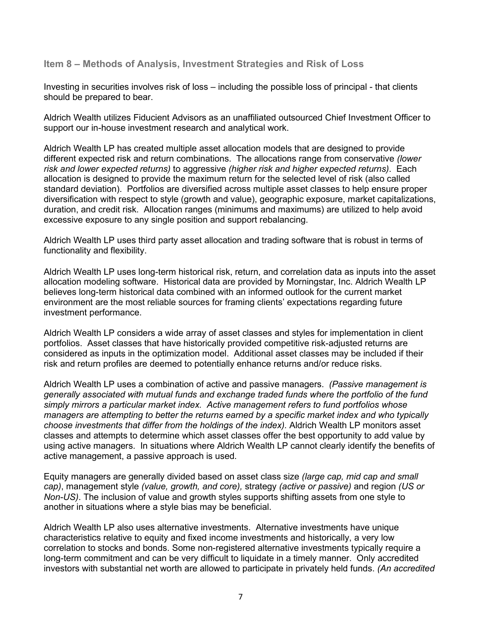<span id="page-9-0"></span>**Item 8 – Methods of Analysis, Investment Strategies and Risk of Loss**

Investing in securities involves risk of loss – including the possible loss of principal - that clients should be prepared to bear.

Aldrich Wealth utilizes Fiducient Advisors as an unaffiliated outsourced Chief Investment Officer to support our in-house investment research and analytical work.

Aldrich Wealth LP has created multiple asset allocation models that are designed to provide different expected risk and return combinations. The allocations range from conservative *(lower risk and lower expected returns)* to aggressive *(higher risk and higher expected returns)*. Each allocation is designed to provide the maximum return for the selected level of risk (also called standard deviation). Portfolios are diversified across multiple asset classes to help ensure proper diversification with respect to style (growth and value), geographic exposure, market capitalizations, duration, and credit risk. Allocation ranges (minimums and maximums) are utilized to help avoid excessive exposure to any single position and support rebalancing.

Aldrich Wealth LP uses third party asset allocation and trading software that is robust in terms of functionality and flexibility.

Aldrich Wealth LP uses long-term historical risk, return, and correlation data as inputs into the asset allocation modeling software. Historical data are provided by Morningstar, Inc. Aldrich Wealth LP believes long-term historical data combined with an informed outlook for the current market environment are the most reliable sources for framing clients' expectations regarding future investment performance.

Aldrich Wealth LP considers a wide array of asset classes and styles for implementation in client portfolios. Asset classes that have historically provided competitive risk-adjusted returns are considered as inputs in the optimization model. Additional asset classes may be included if their risk and return profiles are deemed to potentially enhance returns and/or reduce risks.

Aldrich Wealth LP uses a combination of active and passive managers. *(Passive management is generally associated with mutual funds and exchange traded funds where the portfolio of the fund simply mirrors a particular market index. Active management refers to fund portfolios whose managers are attempting to better the returns earned by a specific market index and who typically choose investments that differ from the holdings of the index).* Aldrich Wealth LP monitors asset classes and attempts to determine which asset classes offer the best opportunity to add value by using active managers. In situations where Aldrich Wealth LP cannot clearly identify the benefits of active management, a passive approach is used.

Equity managers are generally divided based on asset class size *(large cap, mid cap and small cap)*, management style *(value, growth, and core),* strategy *(active or passive)* and region *(US or Non-US)*. The inclusion of value and growth styles supports shifting assets from one style to another in situations where a style bias may be beneficial.

Aldrich Wealth LP also uses alternative investments. Alternative investments have unique characteristics relative to equity and fixed income investments and historically, a very low correlation to stocks and bonds. Some non-registered alternative investments typically require a long-term commitment and can be very difficult to liquidate in a timely manner. Only accredited investors with substantial net worth are allowed to participate in privately held funds. *(An accredited*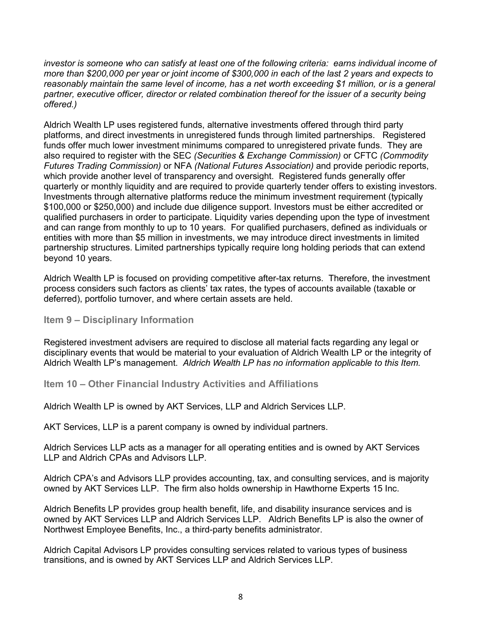*investor is someone who can satisfy at least one of the following criteria: earns individual income of more than \$200,000 per year or joint income of \$300,000 in each of the last 2 years and expects to reasonably maintain the same level of income, has a net worth exceeding \$1 million, or is a general* partner, executive officer, director or related combination thereof for the issuer of a security being *offered.)* 

Aldrich Wealth LP uses registered funds, alternative investments offered through third party platforms, and direct investments in unregistered funds through limited partnerships. Registered funds offer much lower investment minimums compared to unregistered private funds. They are also required to register with the SEC *(Securities & Exchange Commission)* or CFTC *(Commodity Futures Trading Commission)* or NFA *(National Futures Association)* and provide periodic reports, which provide another level of transparency and oversight. Registered funds generally offer quarterly or monthly liquidity and are required to provide quarterly tender offers to existing investors. Investments through alternative platforms reduce the minimum investment requirement (typically \$100,000 or \$250,000) and include due diligence support. Investors must be either accredited or qualified purchasers in order to participate. Liquidity varies depending upon the type of investment and can range from monthly to up to 10 years. For qualified purchasers, defined as individuals or entities with more than \$5 million in investments, we may introduce direct investments in limited partnership structures. Limited partnerships typically require long holding periods that can extend beyond 10 years.

Aldrich Wealth LP is focused on providing competitive after-tax returns. Therefore, the investment process considers such factors as clients' tax rates, the types of accounts available (taxable or deferred), portfolio turnover, and where certain assets are held.

#### <span id="page-10-0"></span>**Item 9 – Disciplinary Information**

Registered investment advisers are required to disclose all material facts regarding any legal or disciplinary events that would be material to your evaluation of Aldrich Wealth LP or the integrity of Aldrich Wealth LP's management. *Aldrich Wealth LP has no information applicable to this Item.*

#### <span id="page-10-1"></span>**Item 10 – Other Financial Industry Activities and Affiliations**

Aldrich Wealth LP is owned by AKT Services, LLP and Aldrich Services LLP.

AKT Services, LLP is a parent company is owned by individual partners.

Aldrich Services LLP acts as a manager for all operating entities and is owned by AKT Services LLP and Aldrich CPAs and Advisors LLP.

Aldrich CPA's and Advisors LLP provides accounting, tax, and consulting services, and is majority owned by AKT Services LLP. The firm also holds ownership in Hawthorne Experts 15 Inc.

Aldrich Benefits LP provides group health benefit, life, and disability insurance services and is owned by AKT Services LLP and Aldrich Services LLP. Aldrich Benefits LP is also the owner of Northwest Employee Benefits, Inc., a third-party benefits administrator.

Aldrich Capital Advisors LP provides consulting services related to various types of business transitions, and is owned by AKT Services LLP and Aldrich Services LLP.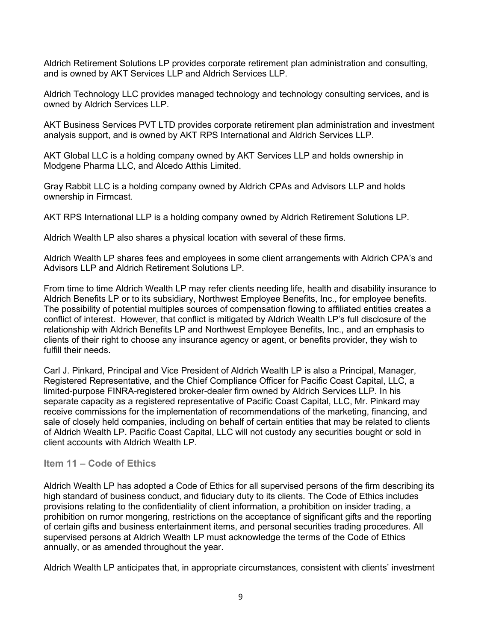Aldrich Retirement Solutions LP provides corporate retirement plan administration and consulting, and is owned by AKT Services LLP and Aldrich Services LLP.

Aldrich Technology LLC provides managed technology and technology consulting services, and is owned by Aldrich Services LLP.

AKT Business Services PVT LTD provides corporate retirement plan administration and investment analysis support, and is owned by AKT RPS International and Aldrich Services LLP.

AKT Global LLC is a holding company owned by AKT Services LLP and holds ownership in Modgene Pharma LLC, and Alcedo Atthis Limited.

Gray Rabbit LLC is a holding company owned by Aldrich CPAs and Advisors LLP and holds ownership in Firmcast.

AKT RPS International LLP is a holding company owned by Aldrich Retirement Solutions LP.

Aldrich Wealth LP also shares a physical location with several of these firms.

Aldrich Wealth LP shares fees and employees in some client arrangements with Aldrich CPA's and Advisors LLP and Aldrich Retirement Solutions LP.

From time to time Aldrich Wealth LP may refer clients needing life, health and disability insurance to Aldrich Benefits LP or to its subsidiary, Northwest Employee Benefits, Inc., for employee benefits. The possibility of potential multiples sources of compensation flowing to affiliated entities creates a conflict of interest. However, that conflict is mitigated by Aldrich Wealth LP's full disclosure of the relationship with Aldrich Benefits LP and Northwest Employee Benefits, Inc., and an emphasis to clients of their right to choose any insurance agency or agent, or benefits provider, they wish to fulfill their needs.

Carl J. Pinkard, Principal and Vice President of Aldrich Wealth LP is also a Principal, Manager, Registered Representative, and the Chief Compliance Officer for Pacific Coast Capital, LLC, a limited-purpose FINRA-registered broker-dealer firm owned by Aldrich Services LLP. In his separate capacity as a registered representative of Pacific Coast Capital, LLC, Mr. Pinkard may receive commissions for the implementation of recommendations of the marketing, financing, and sale of closely held companies, including on behalf of certain entities that may be related to clients of Aldrich Wealth LP. Pacific Coast Capital, LLC will not custody any securities bought or sold in client accounts with Aldrich Wealth LP.

#### <span id="page-11-0"></span>**Item 11 – Code of Ethics**

Aldrich Wealth LP has adopted a Code of Ethics for all supervised persons of the firm describing its high standard of business conduct, and fiduciary duty to its clients. The Code of Ethics includes provisions relating to the confidentiality of client information, a prohibition on insider trading, a prohibition on rumor mongering, restrictions on the acceptance of significant gifts and the reporting of certain gifts and business entertainment items, and personal securities trading procedures. All supervised persons at Aldrich Wealth LP must acknowledge the terms of the Code of Ethics annually, or as amended throughout the year.

Aldrich Wealth LP anticipates that, in appropriate circumstances, consistent with clients' investment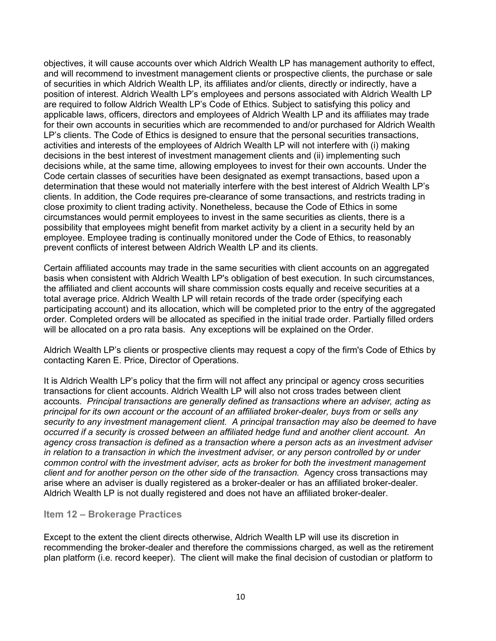objectives, it will cause accounts over which Aldrich Wealth LP has management authority to effect, and will recommend to investment management clients or prospective clients, the purchase or sale of securities in which Aldrich Wealth LP, its affiliates and/or clients, directly or indirectly, have a position of interest. Aldrich Wealth LP's employees and persons associated with Aldrich Wealth LP are required to follow Aldrich Wealth LP's Code of Ethics. Subject to satisfying this policy and applicable laws, officers, directors and employees of Aldrich Wealth LP and its affiliates may trade for their own accounts in securities which are recommended to and/or purchased for Aldrich Wealth LP's clients. The Code of Ethics is designed to ensure that the personal securities transactions, activities and interests of the employees of Aldrich Wealth LP will not interfere with (i) making decisions in the best interest of investment management clients and (ii) implementing such decisions while, at the same time, allowing employees to invest for their own accounts. Under the Code certain classes of securities have been designated as exempt transactions, based upon a determination that these would not materially interfere with the best interest of Aldrich Wealth LP's clients. In addition, the Code requires pre-clearance of some transactions, and restricts trading in close proximity to client trading activity. Nonetheless, because the Code of Ethics in some circumstances would permit employees to invest in the same securities as clients, there is a possibility that employees might benefit from market activity by a client in a security held by an employee. Employee trading is continually monitored under the Code of Ethics, to reasonably prevent conflicts of interest between Aldrich Wealth LP and its clients.

Certain affiliated accounts may trade in the same securities with client accounts on an aggregated basis when consistent with Aldrich Wealth LP's obligation of best execution. In such circumstances, the affiliated and client accounts will share commission costs equally and receive securities at a total average price. Aldrich Wealth LP will retain records of the trade order (specifying each participating account) and its allocation, which will be completed prior to the entry of the aggregated order. Completed orders will be allocated as specified in the initial trade order. Partially filled orders will be allocated on a pro rata basis. Any exceptions will be explained on the Order.

Aldrich Wealth LP's clients or prospective clients may request a copy of the firm's Code of Ethics by contacting Karen E. Price, Director of Operations.

It is Aldrich Wealth LP's policy that the firm will not affect any principal or agency cross securities transactions for client accounts. Aldrich Wealth LP will also not cross trades between client accounts. *Principal transactions are generally defined as transactions where an adviser, acting as principal for its own account or the account of an affiliated broker-dealer, buys from or sells any security to any investment management client. A principal transaction may also be deemed to have occurred if a security is crossed between an affiliated hedge fund and another client account. An agency cross transaction is defined as a transaction where a person acts as an investment adviser in relation to a transaction in which the investment adviser, or any person controlled by or under common control with the investment adviser, acts as broker for both the investment management client and for another person on the other side of the transaction.* Agency cross transactions may arise where an adviser is dually registered as a broker-dealer or has an affiliated broker-dealer. Aldrich Wealth LP is not dually registered and does not have an affiliated broker-dealer.

#### <span id="page-12-0"></span>**Item 12 – Brokerage Practices**

Except to the extent the client directs otherwise, Aldrich Wealth LP will use its discretion in recommending the broker-dealer and therefore the commissions charged, as well as the retirement plan platform (i.e. record keeper). The client will make the final decision of custodian or platform to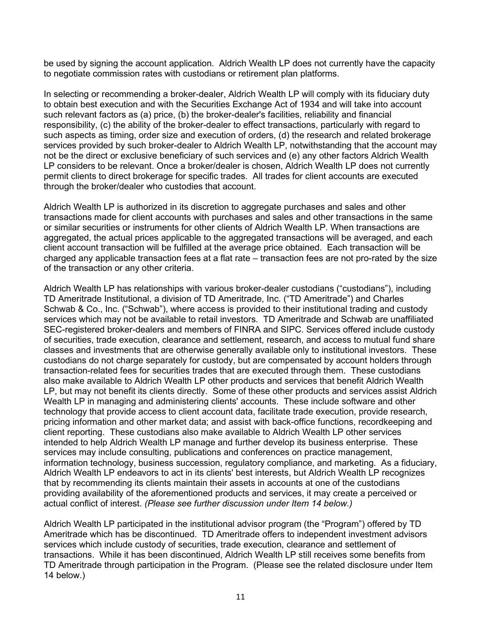be used by signing the account application. Aldrich Wealth LP does not currently have the capacity to negotiate commission rates with custodians or retirement plan platforms.

In selecting or recommending a broker-dealer, Aldrich Wealth LP will comply with its fiduciary duty to obtain best execution and with the Securities Exchange Act of 1934 and will take into account such relevant factors as (a) price, (b) the broker-dealer's facilities, reliability and financial responsibility, (c) the ability of the broker-dealer to effect transactions, particularly with regard to such aspects as timing, order size and execution of orders, (d) the research and related brokerage services provided by such broker-dealer to Aldrich Wealth LP, notwithstanding that the account may not be the direct or exclusive beneficiary of such services and (e) any other factors Aldrich Wealth LP considers to be relevant. Once a broker/dealer is chosen, Aldrich Wealth LP does not currently permit clients to direct brokerage for specific trades. All trades for client accounts are executed through the broker/dealer who custodies that account.

Aldrich Wealth LP is authorized in its discretion to aggregate purchases and sales and other transactions made for client accounts with purchases and sales and other transactions in the same or similar securities or instruments for other clients of Aldrich Wealth LP. When transactions are aggregated, the actual prices applicable to the aggregated transactions will be averaged, and each client account transaction will be fulfilled at the average price obtained. Each transaction will be charged any applicable transaction fees at a flat rate – transaction fees are not pro-rated by the size of the transaction or any other criteria.

Aldrich Wealth LP has relationships with various broker-dealer custodians ("custodians"), including TD Ameritrade Institutional, a division of TD Ameritrade, Inc. ("TD Ameritrade") and Charles Schwab & Co., Inc. ("Schwab"), where access is provided to their institutional trading and custody services which may not be available to retail investors. TD Ameritrade and Schwab are unaffiliated SEC-registered broker-dealers and members of FINRA and SIPC. Services offered include custody of securities, trade execution, clearance and settlement, research, and access to mutual fund share classes and investments that are otherwise generally available only to institutional investors. These custodians do not charge separately for custody, but are compensated by account holders through transaction-related fees for securities trades that are executed through them. These custodians also make available to Aldrich Wealth LP other products and services that benefit Aldrich Wealth LP, but may not benefit its clients directly. Some of these other products and services assist Aldrich Wealth LP in managing and administering clients' accounts. These include software and other technology that provide access to client account data, facilitate trade execution, provide research, pricing information and other market data; and assist with back-office functions, recordkeeping and client reporting. These custodians also make available to Aldrich Wealth LP other services intended to help Aldrich Wealth LP manage and further develop its business enterprise. These services may include consulting, publications and conferences on practice management, information technology, business succession, regulatory compliance, and marketing. As a fiduciary, Aldrich Wealth LP endeavors to act in its clients' best interests, but Aldrich Wealth LP recognizes that by recommending its clients maintain their assets in accounts at one of the custodians providing availability of the aforementioned products and services, it may create a perceived or actual conflict of interest. *(Please see further discussion under Item 14 below.)* 

Aldrich Wealth LP participated in the institutional advisor program (the "Program") offered by TD Ameritrade which has be discontinued. TD Ameritrade offers to independent investment advisors services which include custody of securities, trade execution, clearance and settlement of transactions. While it has been discontinued, Aldrich Wealth LP still receives some benefits from TD Ameritrade through participation in the Program. (Please see the related disclosure under Item 14 below.)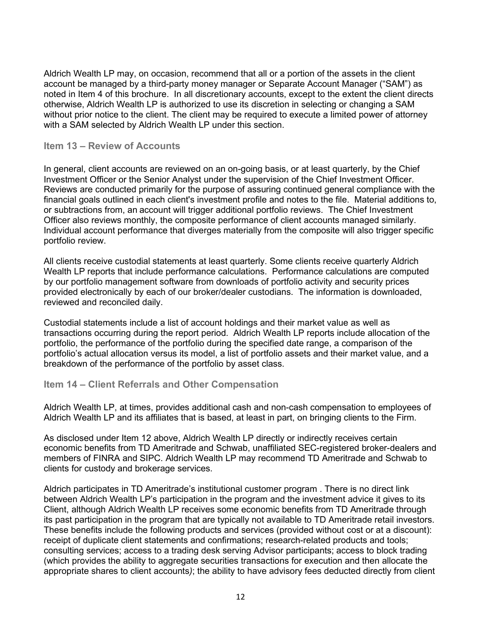Aldrich Wealth LP may, on occasion, recommend that all or a portion of the assets in the client account be managed by a third-party money manager or Separate Account Manager ("SAM") as noted in Item 4 of this brochure. In all discretionary accounts, except to the extent the client directs otherwise, Aldrich Wealth LP is authorized to use its discretion in selecting or changing a SAM without prior notice to the client. The client may be required to execute a limited power of attorney with a SAM selected by Aldrich Wealth LP under this section.

#### <span id="page-14-0"></span>**Item 13 – Review of Accounts**

In general, client accounts are reviewed on an on-going basis, or at least quarterly, by the Chief Investment Officer or the Senior Analyst under the supervision of the Chief Investment Officer. Reviews are conducted primarily for the purpose of assuring continued general compliance with the financial goals outlined in each client's investment profile and notes to the file. Material additions to, or subtractions from, an account will trigger additional portfolio reviews. The Chief Investment Officer also reviews monthly, the composite performance of client accounts managed similarly. Individual account performance that diverges materially from the composite will also trigger specific portfolio review.

All clients receive custodial statements at least quarterly. Some clients receive quarterly Aldrich Wealth LP reports that include performance calculations. Performance calculations are computed by our portfolio management software from downloads of portfolio activity and security prices provided electronically by each of our broker/dealer custodians. The information is downloaded, reviewed and reconciled daily.

Custodial statements include a list of account holdings and their market value as well as transactions occurring during the report period. Aldrich Wealth LP reports include allocation of the portfolio, the performance of the portfolio during the specified date range, a comparison of the portfolio's actual allocation versus its model, a list of portfolio assets and their market value, and a breakdown of the performance of the portfolio by asset class.

#### <span id="page-14-1"></span>**Item 14 – Client Referrals and Other Compensation**

Aldrich Wealth LP, at times, provides additional cash and non-cash compensation to employees of Aldrich Wealth LP and its affiliates that is based, at least in part, on bringing clients to the Firm.

As disclosed under Item 12 above, Aldrich Wealth LP directly or indirectly receives certain economic benefits from TD Ameritrade and Schwab, unaffiliated SEC-registered broker-dealers and members of FINRA and SIPC. Aldrich Wealth LP may recommend TD Ameritrade and Schwab to clients for custody and brokerage services.

Aldrich participates in TD Ameritrade's institutional customer program . There is no direct link between Aldrich Wealth LP's participation in the program and the investment advice it gives to its Client, although Aldrich Wealth LP receives some economic benefits from TD Ameritrade through its past participation in the program that are typically not available to TD Ameritrade retail investors. These benefits include the following products and services (provided without cost or at a discount): receipt of duplicate client statements and confirmations; research-related products and tools; consulting services; access to a trading desk serving Advisor participants; access to block trading (which provides the ability to aggregate securities transactions for execution and then allocate the appropriate shares to client accounts*)*; the ability to have advisory fees deducted directly from client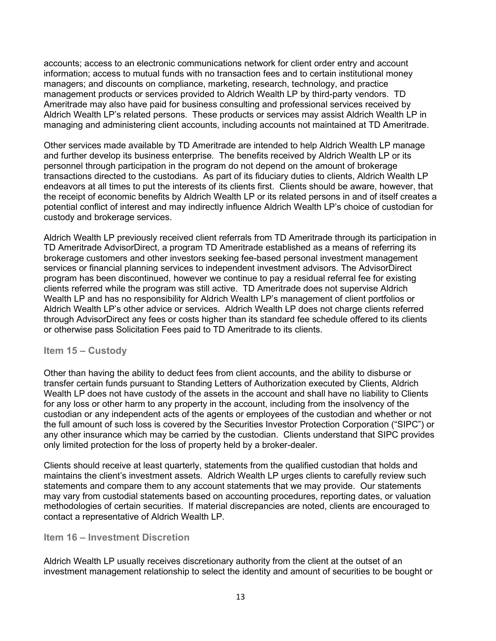accounts; access to an electronic communications network for client order entry and account information; access to mutual funds with no transaction fees and to certain institutional money managers; and discounts on compliance, marketing, research, technology, and practice management products or services provided to Aldrich Wealth LP by third-party vendors. TD Ameritrade may also have paid for business consulting and professional services received by Aldrich Wealth LP's related persons. These products or services may assist Aldrich Wealth LP in managing and administering client accounts, including accounts not maintained at TD Ameritrade.

Other services made available by TD Ameritrade are intended to help Aldrich Wealth LP manage and further develop its business enterprise. The benefits received by Aldrich Wealth LP or its personnel through participation in the program do not depend on the amount of brokerage transactions directed to the custodians. As part of its fiduciary duties to clients, Aldrich Wealth LP endeavors at all times to put the interests of its clients first. Clients should be aware, however, that the receipt of economic benefits by Aldrich Wealth LP or its related persons in and of itself creates a potential conflict of interest and may indirectly influence Aldrich Wealth LP's choice of custodian for custody and brokerage services.

Aldrich Wealth LP previously received client referrals from TD Ameritrade through its participation in TD Ameritrade AdvisorDirect, a program TD Ameritrade established as a means of referring its brokerage customers and other investors seeking fee-based personal investment management services or financial planning services to independent investment advisors. The AdvisorDirect program has been discontinued, however we continue to pay a residual referral fee for existing clients referred while the program was still active. TD Ameritrade does not supervise Aldrich Wealth LP and has no responsibility for Aldrich Wealth LP's management of client portfolios or Aldrich Wealth LP's other advice or services. Aldrich Wealth LP does not charge clients referred through AdvisorDirect any fees or costs higher than its standard fee schedule offered to its clients or otherwise pass Solicitation Fees paid to TD Ameritrade to its clients.

#### <span id="page-15-0"></span>**Item 15 – Custody**

Other than having the ability to deduct fees from client accounts, and the ability to disburse or transfer certain funds pursuant to Standing Letters of Authorization executed by Clients, Aldrich Wealth LP does not have custody of the assets in the account and shall have no liability to Clients for any loss or other harm to any property in the account, including from the insolvency of the custodian or any independent acts of the agents or employees of the custodian and whether or not the full amount of such loss is covered by the Securities Investor Protection Corporation ("SIPC") or any other insurance which may be carried by the custodian. Clients understand that SIPC provides only limited protection for the loss of property held by a broker-dealer.

Clients should receive at least quarterly, statements from the qualified custodian that holds and maintains the client's investment assets. Aldrich Wealth LP urges clients to carefully review such statements and compare them to any account statements that we may provide. Our statements may vary from custodial statements based on accounting procedures, reporting dates, or valuation methodologies of certain securities. If material discrepancies are noted, clients are encouraged to contact a representative of Aldrich Wealth LP.

#### <span id="page-15-1"></span>**Item 16 – Investment Discretion**

Aldrich Wealth LP usually receives discretionary authority from the client at the outset of an investment management relationship to select the identity and amount of securities to be bought or